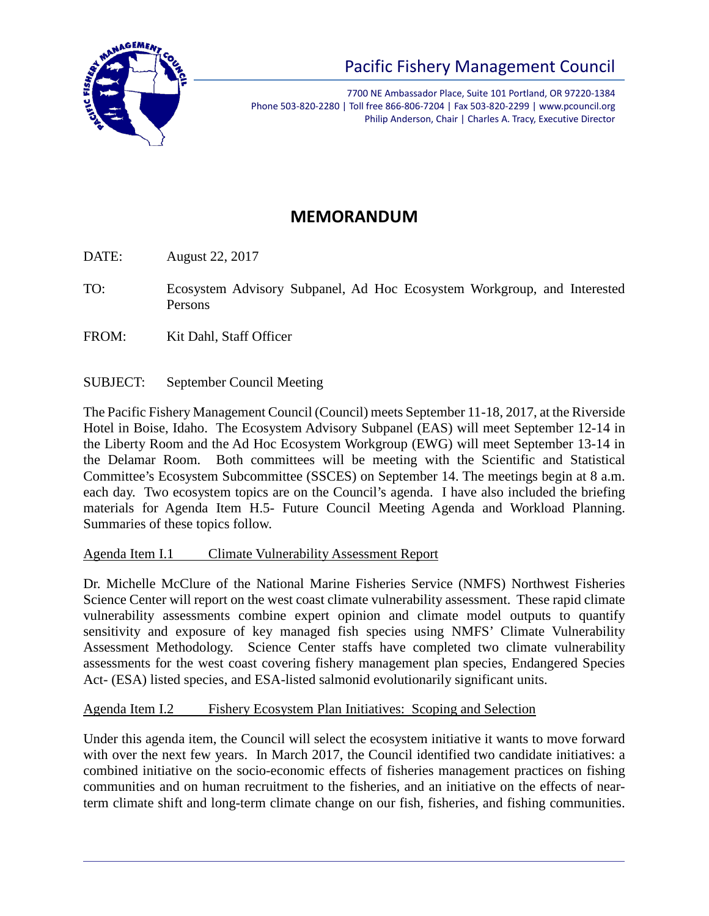

7700 NE Ambassador Place, Suite 101 Portland, OR 97220-1384 Phone 503-820-2280 | Toll free 866-806-7204 | Fax 503-820-2299 | www.pcouncil.org Philip Anderson, Chair | Charles A. Tracy, Executive Director

# **MEMORANDUM**

DATE: August 22, 2017

- TO: Ecosystem Advisory Subpanel, Ad Hoc Ecosystem Workgroup, and Interested Persons
- FROM: Kit Dahl, Staff Officer
- SUBJECT: September Council Meeting

The Pacific Fishery Management Council (Council) meets September 11-18, 2017, at the Riverside Hotel in Boise, Idaho. The Ecosystem Advisory Subpanel (EAS) will meet September 12-14 in the Liberty Room and the Ad Hoc Ecosystem Workgroup (EWG) will meet September 13-14 in the Delamar Room. Both committees will be meeting with the Scientific and Statistical Committee's Ecosystem Subcommittee (SSCES) on September 14. The meetings begin at 8 a.m. each day. Two ecosystem topics are on the Council's agenda. I have also included the briefing materials for Agenda Item H.5- Future Council Meeting Agenda and Workload Planning. Summaries of these topics follow.

# Agenda Item I.1 Climate Vulnerability Assessment Report

Dr. Michelle McClure of the National Marine Fisheries Service (NMFS) Northwest Fisheries Science Center will report on the west coast climate vulnerability assessment. These rapid climate vulnerability assessments combine expert opinion and climate model outputs to quantify sensitivity and exposure of key managed fish species using NMFS' Climate Vulnerability Assessment Methodology. Science Center staffs have completed two climate vulnerability assessments for the west coast covering fishery management plan species, Endangered Species Act- (ESA) listed species, and ESA-listed salmonid evolutionarily significant units.

# Agenda Item I.2 Fishery Ecosystem Plan Initiatives: Scoping and Selection

Under this agenda item, the Council will select the ecosystem initiative it wants to move forward with over the next few years. In March 2017, the Council identified two candidate initiatives: a combined initiative on the socio-economic effects of fisheries management practices on fishing communities and on human recruitment to the fisheries, and an initiative on the effects of nearterm climate shift and long-term climate change on our fish, fisheries, and fishing communities.